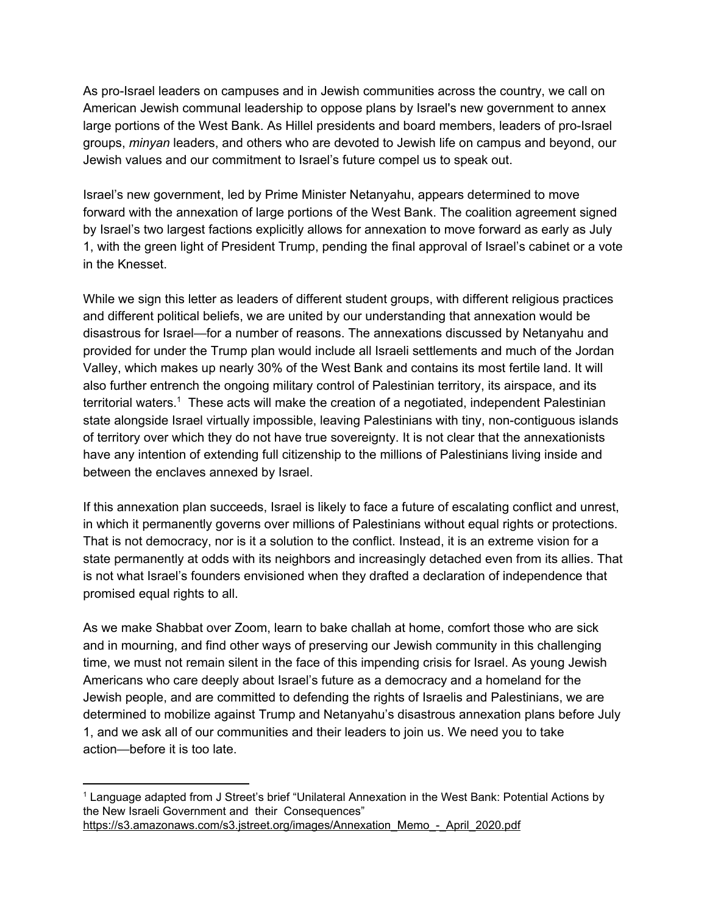As pro-Israel leaders on campuses and in Jewish communities across the country, we call on American Jewish communal leadership to oppose plans by Israel's new government to annex large portions of the West Bank. As Hillel presidents and board members, leaders of pro-Israel groups, *minyan* leaders, and others who are devoted to Jewish life on campus and beyond, our Jewish values and our commitment to Israel's future compel us to speak out.

Israel's new government, led by Prime Minister Netanyahu, appears determined to move forward with the annexation of large portions of the West Bank. The coalition agreement signed by Israel's two largest factions explicitly allows for annexation to move forward as early as July 1, with the green light of President Trump, pending the final approval of Israel's cabinet or a vote in the Knesset.

While we sign this letter as leaders of different student groups, with different religious practices and different political beliefs, we are united by our understanding that annexation would be disastrous for Israel—for a number of reasons. The annexations discussed by Netanyahu and provided for under the Trump plan would include all Israeli settlements and much of the Jordan Valley, which makes up nearly 30% of the West Bank and contains its most fertile land. It will also further entrench the ongoing military control of Palestinian territory, its airspace, and its territorial waters.<sup>1</sup> These acts will make the creation of a negotiated, independent Palestinian state alongside Israel virtually impossible, leaving Palestinians with tiny, non-contiguous islands of territory over which they do not have true sovereignty. It is not clear that the annexationists have any intention of extending full citizenship to the millions of Palestinians living inside and between the enclaves annexed by Israel.

If this annexation plan succeeds, Israel is likely to face a future of escalating conflict and unrest, in which it permanently governs over millions of Palestinians without equal rights or protections. That is not democracy, nor is it a solution to the conflict. Instead, it is an extreme vision for a state permanently at odds with its neighbors and increasingly detached even from its allies. That is not what Israel's founders envisioned when they drafted a declaration of independence that promised equal rights to all.

As we make Shabbat over Zoom, learn to bake challah at home, comfort those who are sick and in mourning, and find other ways of preserving our Jewish community in this challenging time, we must not remain silent in the face of this impending crisis for Israel. As young Jewish Americans who care deeply about Israel's future as a democracy and a homeland for the Jewish people, and are committed to defending the rights of Israelis and Palestinians, we are determined to mobilize against Trump and Netanyahu's disastrous annexation plans before July 1, and we ask all of our communities and their leaders to join us. We need you to take action—before it is too late.

<sup>1</sup> Language adapted from J Street's brief "Unilateral Annexation in the West Bank: Potential Actions by the New Israeli Government and their Consequences" [https://s3.amazonaws.com/s3.jstreet.org/images/Annexation\\_Memo\\_-\\_April\\_2020.pdf](https://s3.amazonaws.com/s3.jstreet.org/images/Annexation_Memo_-_April_2020.pdf)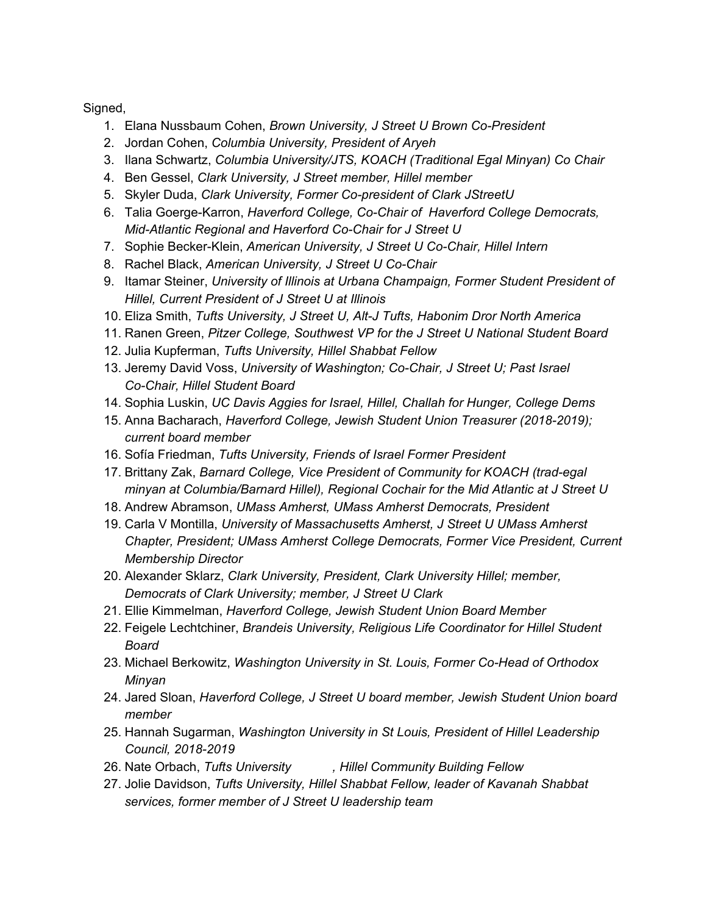Signed,

- 1. Elana Nussbaum Cohen, *Brown University, J Street U Brown Co-President*
- 2. Jordan Cohen, *Columbia University, President of Aryeh*
- 3. Ilana Schwartz, *Columbia University/JTS, KOACH (Traditional Egal Minyan) Co Chair*
- 4. Ben Gessel, *Clark University, J Street member, Hillel member*
- 5. Skyler Duda, *Clark University, Former Co-president of Clark JStreetU*
- 6. Talia Goerge-Karron, *Haverford College, Co-Chair of Haverford College Democrats, Mid-Atlantic Regional and Haverford Co-Chair for J Street U*
- 7. Sophie Becker-Klein, *American University, J Street U Co-Chair, Hillel Intern*
- 8. Rachel Black, *American University, J Street U Co-Chair*
- 9. Itamar Steiner, *University of Illinois at Urbana Champaign, Former Student President of Hillel, Current President of J Street U at Illinois*
- 10. Eliza Smith, *Tufts University, J Street U, Alt-J Tufts, Habonim Dror North America*
- 11. Ranen Green, *Pitzer College, Southwest VP for the J Street U National Student Board*
- 12. Julia Kupferman, *Tufts University, Hillel Shabbat Fellow*
- 13. Jeremy David Voss, *University of Washington; Co-Chair, J Street U; Past Israel Co-Chair, Hillel Student Board*
- 14. Sophia Luskin, *UC Davis Aggies for Israel, Hillel, Challah for Hunger, College Dems*
- 15. Anna Bacharach, *Haverford College, Jewish Student Union Treasurer (2018-2019); current board member*
- 16. Sofía Friedman, *Tufts University, Friends of Israel Former President*
- 17. Brittany Zak, *Barnard College, Vice President of Community for KOACH (trad-egal minyan at Columbia/Barnard Hillel), Regional Cochair for the Mid Atlantic at J Street U*
- 18. Andrew Abramson, *UMass Amherst, UMass Amherst Democrats, President*
- 19. Carla V Montilla, *University of Massachusetts Amherst, J Street U UMass Amherst Chapter, President; UMass Amherst College Democrats, Former Vice President, Current Membership Director*
- 20. Alexander Sklarz, *Clark University, President, Clark University Hillel; member, Democrats of Clark University; member, J Street U Clark*
- 21. Ellie Kimmelman, *Haverford College, Jewish Student Union Board Member*
- 22. Feigele Lechtchiner, *Brandeis University, Religious Life Coordinator for Hillel Student Board*
- 23. Michael Berkowitz, *Washington University in St. Louis, Former Co-Head of Orthodox Minyan*
- 24. Jared Sloan, *Haverford College, J Street U board member, Jewish Student Union board member*
- 25. Hannah Sugarman, *Washington University in St Louis, President of Hillel Leadership Council, 2018-2019*
- 26. Nate Orbach, *Tufts University , Hillel Community Building Fellow*
- 27. Jolie Davidson, *Tufts University, Hillel Shabbat Fellow, leader of Kavanah Shabbat services, former member of J Street U leadership team*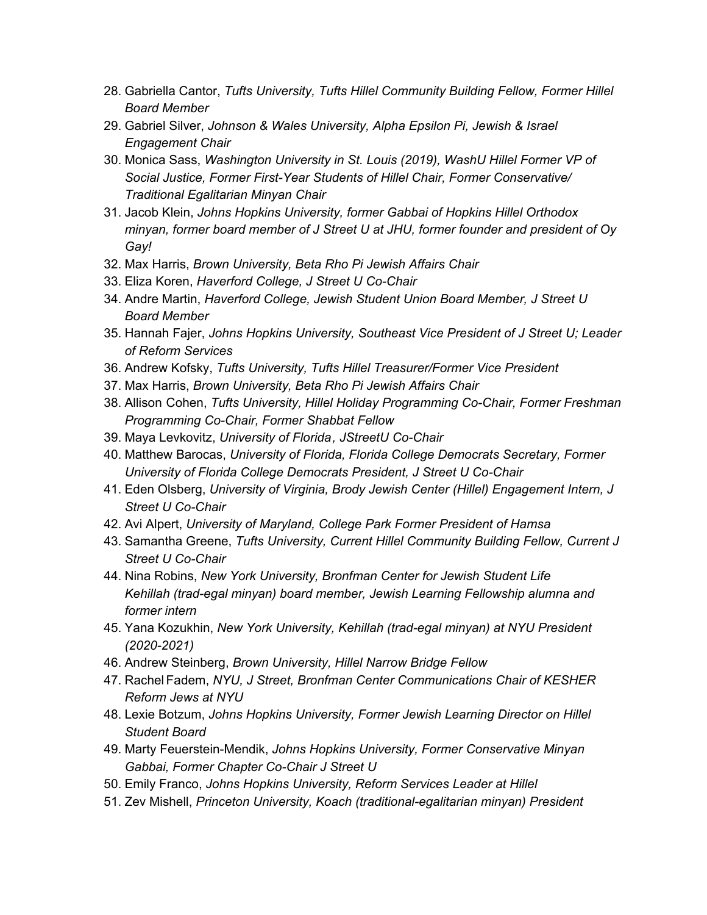- 28. Gabriella Cantor, *Tufts University, Tufts Hillel Community Building Fellow, Former Hillel Board Member*
- 29. Gabriel Silver, *Johnson & Wales University, Alpha Epsilon Pi, Jewish & Israel Engagement Chair*
- 30. Monica Sass, *Washington University in St. Louis (2019), WashU Hillel Former VP of Social Justice, Former First-Year Students of Hillel Chair, Former Conservative/ Traditional Egalitarian Minyan Chair*
- 31. Jacob Klein, *Johns Hopkins University, former Gabbai of Hopkins Hillel Orthodox minyan, former board member of J Street U at JHU, former founder and president of Oy Gay!*
- 32. Max Harris, *Brown University, Beta Rho Pi Jewish Affairs Chair*
- 33. Eliza Koren, *Haverford College, J Street U Co-Chair*
- 34. Andre Martin, *Haverford College, Jewish Student Union Board Member, J Street U Board Member*
- 35. Hannah Fajer, *Johns Hopkins University, Southeast Vice President of J Street U; Leader of Reform Services*
- 36. Andrew Kofsky, *Tufts University, Tufts Hillel Treasurer/Former Vice President*
- 37. Max Harris, *Brown University, Beta Rho Pi Jewish Affairs Chair*
- 38. Allison Cohen, *Tufts University, Hillel Holiday Programming Co-Chair, Former Freshman Programming Co-Chair, Former Shabbat Fellow*
- 39. Maya Levkovitz, *University of Florida, JStreetU Co-Chair*
- 40. Matthew Barocas, *University of Florida, Florida College Democrats Secretary, Former University of Florida College Democrats President, J Street U Co-Chair*
- 41. Eden Olsberg, *University of Virginia, Brody Jewish Center (Hillel) Engagement Intern, J Street U Co-Chair*
- 42. Avi Alpert, *University of Maryland, College Park Former President of Hamsa*
- 43. Samantha Greene, *Tufts University, Current Hillel Community Building Fellow, Current J Street U Co-Chair*
- 44. Nina Robins, *New York University, Bronfman Center for Jewish Student Life Kehillah (trad-egal minyan) board member, Jewish Learning Fellowship alumna and former intern*
- 45. Yana Kozukhin, *New York University, Kehillah (trad-egal minyan) at NYU President (2020-2021)*
- 46. Andrew Steinberg, *Brown University, Hillel Narrow Bridge Fellow*
- 47. Rachel Fadem, *NYU, J Street, Bronfman Center Communications Chair of KESHER Reform Jews at NYU*
- 48. Lexie Botzum, *Johns Hopkins University, Former Jewish Learning Director on Hillel Student Board*
- 49. Marty Feuerstein-Mendik, *Johns Hopkins University, Former Conservative Minyan Gabbai, Former Chapter Co-Chair J Street U*
- 50. Emily Franco, *Johns Hopkins University, Reform Services Leader at Hillel*
- 51. Zev Mishell, *Princeton University, Koach (traditional-egalitarian minyan) President*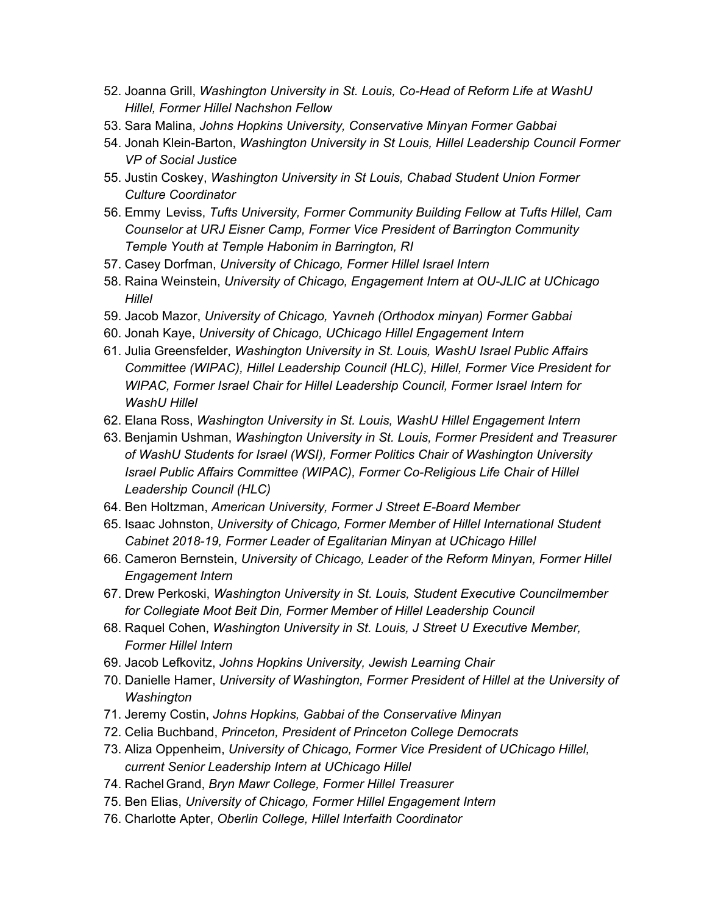- 52. Joanna Grill, *Washington University in St. Louis, Co-Head of Reform Life at WashU Hillel, Former Hillel Nachshon Fellow*
- 53. Sara Malina, *Johns Hopkins University, Conservative Minyan Former Gabbai*
- 54. Jonah Klein-Barton, *Washington University in St Louis, Hillel Leadership Council Former VP of Social Justice*
- 55. Justin Coskey, *Washington University in St Louis, Chabad Student Union Former Culture Coordinator*
- 56. Emmy Leviss, *Tufts University, Former Community Building Fellow at Tufts Hillel, Cam Counselor at URJ Eisner Camp, Former Vice President of Barrington Community Temple Youth at Temple Habonim in Barrington, RI*
- 57. Casey Dorfman, *University of Chicago, Former Hillel Israel Intern*
- 58. Raina Weinstein, *University of Chicago, Engagement Intern at OU-JLIC at UChicago Hillel*
- 59. Jacob Mazor, *University of Chicago, Yavneh (Orthodox minyan) Former Gabbai*
- 60. Jonah Kaye, *University of Chicago, UChicago Hillel Engagement Intern*
- 61. Julia Greensfelder, *Washington University in St. Louis, WashU Israel Public Affairs Committee (WIPAC), Hillel Leadership Council (HLC), Hillel, Former Vice President for WIPAC, Former Israel Chair for Hillel Leadership Council, Former Israel Intern for WashU Hillel*
- 62. Elana Ross, *Washington University in St. Louis, WashU Hillel Engagement Intern*
- 63. Benjamin Ushman, *Washington University in St. Louis, Former President and Treasurer of WashU Students for Israel (WSI), Former Politics Chair of Washington University Israel Public Affairs Committee (WIPAC), Former Co-Religious Life Chair of Hillel Leadership Council (HLC)*
- 64. Ben Holtzman, *American University, Former J Street E-Board Member*
- 65. Isaac Johnston, *University of Chicago, Former Member of Hillel International Student Cabinet 2018-19, Former Leader of Egalitarian Minyan at UChicago Hillel*
- 66. Cameron Bernstein, *University of Chicago, Leader of the Reform Minyan, Former Hillel Engagement Intern*
- 67. Drew Perkoski, *Washington University in St. Louis, Student Executive Councilmember for Collegiate Moot Beit Din, Former Member of Hillel Leadership Council*
- 68. Raquel Cohen, *Washington University in St. Louis, J Street U Executive Member, Former Hillel Intern*
- 69. Jacob Lefkovitz, *Johns Hopkins University, Jewish Learning Chair*
- 70. Danielle Hamer, *University of Washington, Former President of Hillel at the University of Washington*
- 71. Jeremy Costin, *Johns Hopkins, Gabbai of the Conservative Minyan*
- 72. Celia Buchband, *Princeton, President of Princeton College Democrats*
- 73. Aliza Oppenheim, *University of Chicago, Former Vice President of UChicago Hillel, current Senior Leadership Intern at UChicago Hillel*
- 74. Rachel Grand, *Bryn Mawr College, Former Hillel Treasurer*
- 75. Ben Elias, *University of Chicago, Former Hillel Engagement Intern*
- 76. Charlotte Apter, *Oberlin College, Hillel Interfaith Coordinator*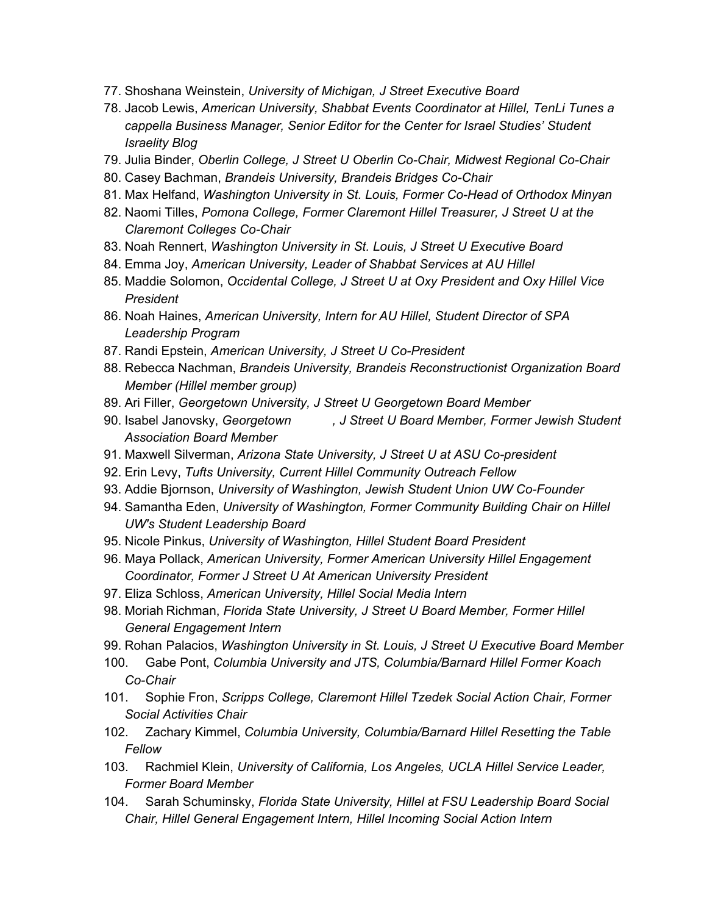- 77. Shoshana Weinstein, *University of Michigan, J Street Executive Board*
- 78. Jacob Lewis, *American University, Shabbat Events Coordinator at Hillel, TenLi Tunes a cappella Business Manager, Senior Editor for the Center for Israel Studies' Student Israelity Blog*
- 79. Julia Binder, *Oberlin College, J Street U Oberlin Co-Chair, Midwest Regional Co-Chair*
- 80. Casey Bachman, *Brandeis University, Brandeis Bridges Co-Chair*
- 81. Max Helfand, *Washington University in St. Louis, Former Co-Head of Orthodox Minyan*
- 82. Naomi Tilles, *Pomona College, Former Claremont Hillel Treasurer, J Street U at the Claremont Colleges Co-Chair*
- 83. Noah Rennert, *Washington University in St. Louis, J Street U Executive Board*
- 84. Emma Joy, *American University, Leader of Shabbat Services at AU Hillel*
- 85. Maddie Solomon, *Occidental College, J Street U at Oxy President and Oxy Hillel Vice President*
- 86. Noah Haines, *American University, Intern for AU Hillel, Student Director of SPA Leadership Program*
- 87. Randi Epstein, *American University, J Street U Co-President*
- 88. Rebecca Nachman, *Brandeis University, Brandeis Reconstructionist Organization Board Member (Hillel member group)*
- 89. Ari Filler, *Georgetown University, J Street U Georgetown Board Member*
- 90. Isabel Janovsky, *Georgetown , J Street U Board Member, Former Jewish Student Association Board Member*
- 91. Maxwell Silverman, *Arizona State University, J Street U at ASU Co-president*
- 92. Erin Levy, *Tufts University, Current Hillel Community Outreach Fellow*
- 93. Addie Bjornson, *University of Washington, Jewish Student Union UW Co-Founder*
- 94. Samantha Eden, *University of Washington, Former Community Building Chair on Hillel UW's Student Leadership Board*
- 95. Nicole Pinkus, *University of Washington, Hillel Student Board President*
- 96. Maya Pollack, *American University, Former American University Hillel Engagement Coordinator, Former J Street U At American University President*
- 97. Eliza Schloss, *American University, Hillel Social Media Intern*
- 98. Moriah Richman, *Florida State University, J Street U Board Member, Former Hillel General Engagement Intern*
- 99. Rohan Palacios, *Washington University in St. Louis, J Street U Executive Board Member*
- 100. Gabe Pont, *Columbia University and JTS, Columbia/Barnard Hillel Former Koach Co-Chair*
- 101. Sophie Fron, *Scripps College, Claremont Hillel Tzedek Social Action Chair, Former Social Activities Chair*
- 102. Zachary Kimmel, *Columbia University, Columbia/Barnard Hillel Resetting the Table Fellow*
- 103. Rachmiel Klein, *University of California, Los Angeles, UCLA Hillel Service Leader, Former Board Member*
- 104. Sarah Schuminsky, *Florida State University, Hillel at FSU Leadership Board Social Chair, Hillel General Engagement Intern, Hillel Incoming Social Action Intern*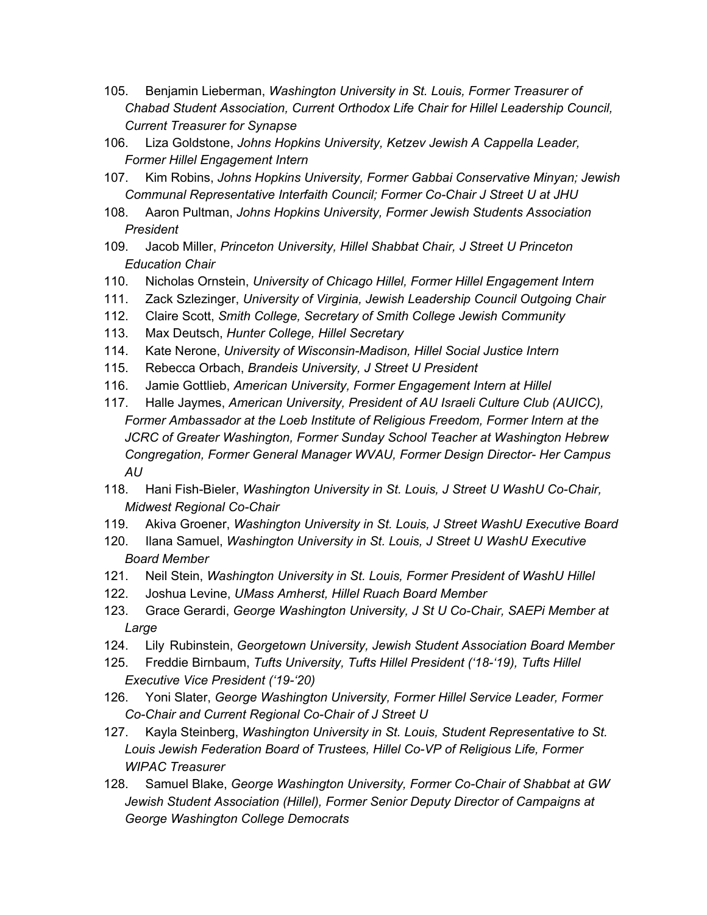- 105. Benjamin Lieberman, *Washington University in St. Louis, Former Treasurer of Chabad Student Association, Current Orthodox Life Chair for Hillel Leadership Council, Current Treasurer for Synapse*
- 106. Liza Goldstone, *Johns Hopkins University, Ketzev Jewish A Cappella Leader, Former Hillel Engagement Intern*
- 107. Kim Robins, *Johns Hopkins University, Former Gabbai Conservative Minyan; Jewish Communal Representative Interfaith Council; Former Co-Chair J Street U at JHU*
- 108. Aaron Pultman, *Johns Hopkins University, Former Jewish Students Association President*
- 109. Jacob Miller, *Princeton University, Hillel Shabbat Chair, J Street U Princeton Education Chair*
- 110. Nicholas Ornstein, *University of Chicago Hillel, Former Hillel Engagement Intern*
- 111. Zack Szlezinger, *University of Virginia, Jewish Leadership Council Outgoing Chair*
- 112. Claire Scott, *Smith College, Secretary of Smith College Jewish Community*
- 113. Max Deutsch, *Hunter College, Hillel Secretary*
- 114. Kate Nerone, *University of Wisconsin-Madison, Hillel Social Justice Intern*
- 115. Rebecca Orbach, *Brandeis University, J Street U President*
- 116. Jamie Gottlieb, *American University, Former Engagement Intern at Hillel*
- 117. Halle Jaymes, *American University, President of AU Israeli Culture Club (AUICC), Former Ambassador at the Loeb Institute of Religious Freedom, Former Intern at the JCRC of Greater Washington, Former Sunday School Teacher at Washington Hebrew Congregation, Former General Manager WVAU, Former Design Director- Her Campus AU*
- 118. Hani Fish-Bieler, *Washington University in St. Louis, J Street U WashU Co-Chair, Midwest Regional Co-Chair*
- 119. Akiva Groener, *Washington University in St. Louis, J Street WashU Executive Board*
- 120. Ilana Samuel, *Washington University in St. Louis, J Street U WashU Executive Board Member*
- 121. Neil Stein, *Washington University in St. Louis, Former President of WashU Hillel*
- 122. Joshua Levine, *UMass Amherst, Hillel Ruach Board Member*
- 123. Grace Gerardi, *George Washington University, J St U Co-Chair, SAEPi Member at Large*
- 124. Lily Rubinstein, *Georgetown University, Jewish Student Association Board Member*
- 125. Freddie Birnbaum, *Tufts University, Tufts Hillel President ('18-'19), Tufts Hillel Executive Vice President ('19-'20)*
- 126. Yoni Slater, *George Washington University, Former Hillel Service Leader, Former Co-Chair and Current Regional Co-Chair of J Street U*
- 127. Kayla Steinberg, *Washington University in St. Louis, Student Representative to St. Louis Jewish Federation Board of Trustees, Hillel Co-VP of Religious Life, Former WIPAC Treasurer*
- 128. Samuel Blake, *George Washington University, Former Co-Chair of Shabbat at GW Jewish Student Association (Hillel), Former Senior Deputy Director of Campaigns at George Washington College Democrats*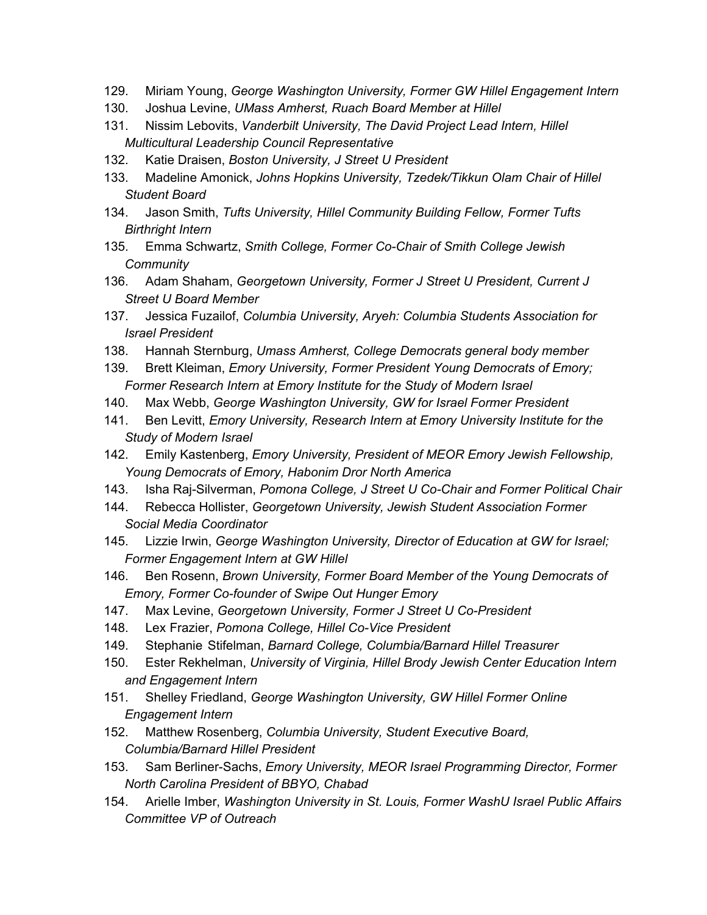- 129. Miriam Young, *George Washington University, Former GW Hillel Engagement Intern*
- 130. Joshua Levine, *UMass Amherst, Ruach Board Member at Hillel*
- 131. Nissim Lebovits, *Vanderbilt University, The David Project Lead Intern, Hillel Multicultural Leadership Council Representative*
- 132. Katie Draisen, *Boston University, J Street U President*
- 133. Madeline Amonick, *Johns Hopkins University, Tzedek/Tikkun Olam Chair of Hillel Student Board*
- 134. Jason Smith, *Tufts University, Hillel Community Building Fellow, Former Tufts Birthright Intern*
- 135. Emma Schwartz, *Smith College, Former Co-Chair of Smith College Jewish Community*
- 136. Adam Shaham, *Georgetown University, Former J Street U President, Current J Street U Board Member*
- 137. Jessica Fuzailof, *Columbia University, Aryeh: Columbia Students Association for Israel President*
- 138. Hannah Sternburg, *Umass Amherst, College Democrats general body member*
- 139. Brett Kleiman, *Emory University, Former President Young Democrats of Emory; Former Research Intern at Emory Institute for the Study of Modern Israel*
- 140. Max Webb, *George Washington University, GW for Israel Former President*
- 141. Ben Levitt, *Emory University, Research Intern at Emory University Institute for the Study of Modern Israel*
- 142. Emily Kastenberg, *Emory University, President of MEOR Emory Jewish Fellowship, Young Democrats of Emory, Habonim Dror North America*
- 143. Isha Raj-Silverman, *Pomona College, J Street U Co-Chair and Former Political Chair*
- 144. Rebecca Hollister, *Georgetown University, Jewish Student Association Former Social Media Coordinator*
- 145. Lizzie Irwin, *George Washington University, Director of Education at GW for Israel; Former Engagement Intern at GW Hillel*
- 146. Ben Rosenn, *Brown University, Former Board Member of the Young Democrats of Emory, Former Co-founder of Swipe Out Hunger Emory*
- 147. Max Levine, *Georgetown University, Former J Street U Co-President*
- 148. Lex Frazier, *Pomona College, Hillel Co-Vice President*
- 149. Stephanie Stifelman, *Barnard College, Columbia/Barnard Hillel Treasurer*
- 150. Ester Rekhelman, *University of Virginia, Hillel Brody Jewish Center Education Intern and Engagement Intern*
- 151. Shelley Friedland, *George Washington University, GW Hillel Former Online Engagement Intern*
- 152. Matthew Rosenberg, *Columbia University, Student Executive Board, Columbia/Barnard Hillel President*
- 153. Sam Berliner-Sachs, *Emory University, MEOR Israel Programming Director, Former North Carolina President of BBYO, Chabad*
- 154. Arielle Imber, *Washington University in St. Louis, Former WashU Israel Public Affairs Committee VP of Outreach*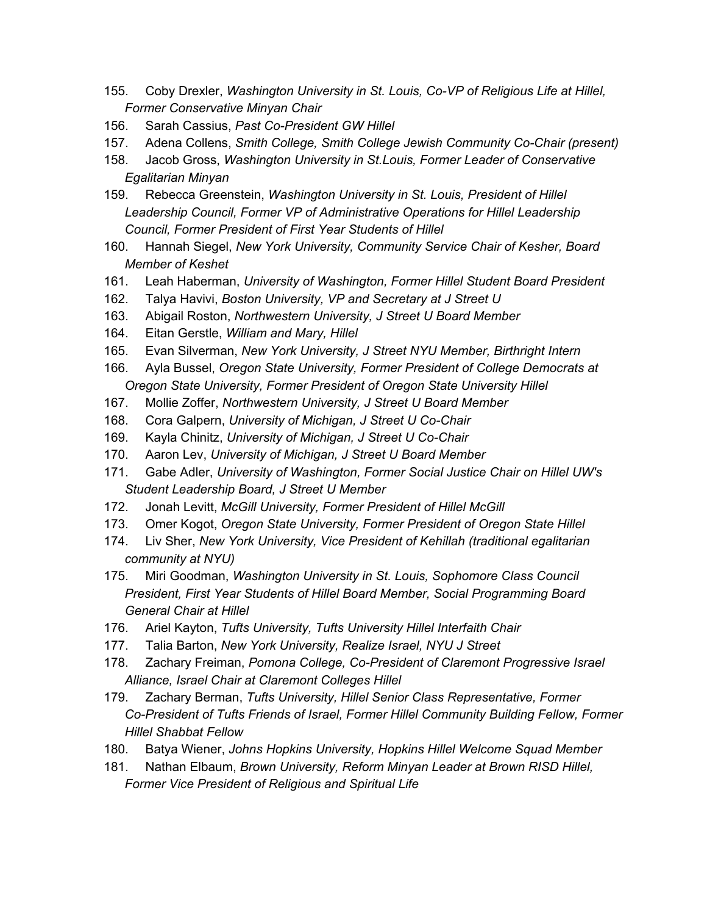- 155. Coby Drexler, *Washington University in St. Louis, Co-VP of Religious Life at Hillel, Former Conservative Minyan Chair*
- 156. Sarah Cassius, *Past Co-President GW Hillel*
- 157. Adena Collens, *Smith College, Smith College Jewish Community Co-Chair (present)*
- 158. Jacob Gross, *Washington University in St.Louis, Former Leader of Conservative Egalitarian Minyan*
- 159. Rebecca Greenstein, *Washington University in St. Louis, President of Hillel Leadership Council, Former VP of Administrative Operations for Hillel Leadership Council, Former President of First Year Students of Hillel*
- 160. Hannah Siegel, *New York University, Community Service Chair of Kesher, Board Member of Keshet*
- 161. Leah Haberman, *University of Washington, Former Hillel Student Board President*
- 162. Talya Havivi, *Boston University, VP and Secretary at J Street U*
- 163. Abigail Roston, *Northwestern University, J Street U Board Member*
- 164. Eitan Gerstle, *William and Mary, Hillel*
- 165. Evan Silverman, *New York University, J Street NYU Member, Birthright Intern*
- 166. Ayla Bussel, *Oregon State University, Former President of College Democrats at Oregon State University, Former President of Oregon State University Hillel*
- 167. Mollie Zoffer, *Northwestern University, J Street U Board Member*
- 168. Cora Galpern, *University of Michigan, J Street U Co-Chair*
- 169. Kayla Chinitz, *University of Michigan, J Street U Co-Chair*
- 170. Aaron Lev, *University of Michigan, J Street U Board Member*
- 171. Gabe Adler, *University of Washington, Former Social Justice Chair on Hillel UW's Student Leadership Board, J Street U Member*
- 172. Jonah Levitt, *McGill University, Former President of Hillel McGill*
- 173. Omer Kogot, *Oregon State University, Former President of Oregon State Hillel*
- 174. Liv Sher, *New York University, Vice President of Kehillah (traditional egalitarian community at NYU)*
- 175. Miri Goodman, *Washington University in St. Louis, Sophomore Class Council President, First Year Students of Hillel Board Member, Social Programming Board General Chair at Hillel*
- 176. Ariel Kayton, *Tufts University, Tufts University Hillel Interfaith Chair*
- 177. Talia Barton, *New York University, Realize Israel, NYU J Street*
- 178. Zachary Freiman, *Pomona College, Co-President of Claremont Progressive Israel Alliance, Israel Chair at Claremont Colleges Hillel*
- 179. Zachary Berman, *Tufts University, Hillel Senior Class Representative, Former Co-President of Tufts Friends of Israel, Former Hillel Community Building Fellow, Former Hillel Shabbat Fellow*
- 180. Batya Wiener, *Johns Hopkins University, Hopkins Hillel Welcome Squad Member*
- 181. Nathan Elbaum, *Brown University, Reform Minyan Leader at Brown RISD Hillel, Former Vice President of Religious and Spiritual Life*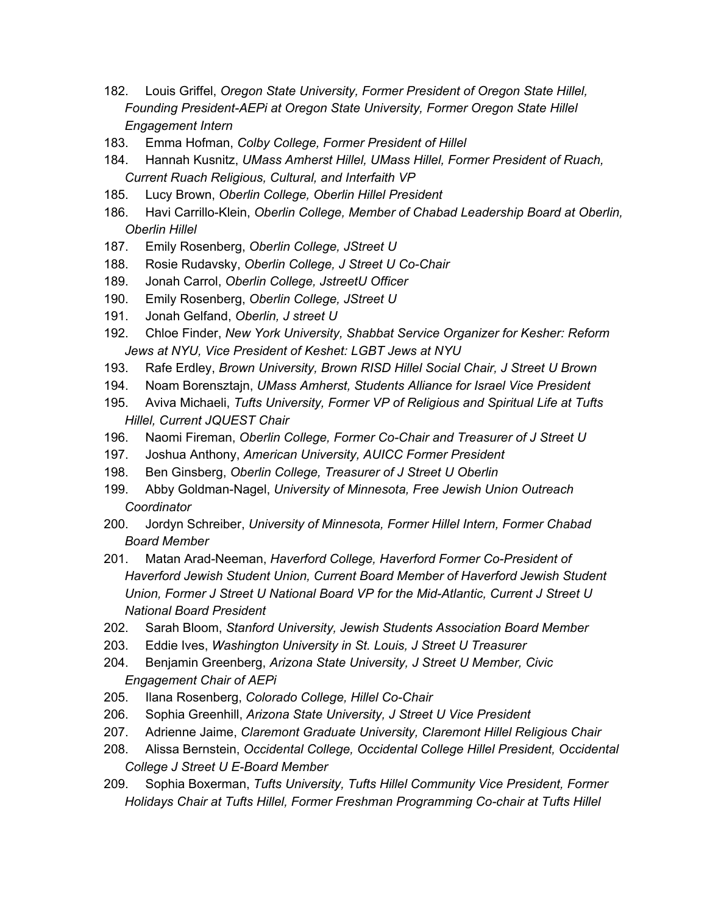- 182. Louis Griffel, *Oregon State University, Former President of Oregon State Hillel, Founding President-AEPi at Oregon State University, Former Oregon State Hillel Engagement Intern*
- 183. Emma Hofman, *Colby College, Former President of Hillel*
- 184. Hannah Kusnitz, *UMass Amherst Hillel, UMass Hillel, Former President of Ruach, Current Ruach Religious, Cultural, and Interfaith VP*
- 185. Lucy Brown, *Oberlin College, Oberlin Hillel President*
- 186. Havi Carrillo-Klein, *Oberlin College, Member of Chabad Leadership Board at Oberlin, Oberlin Hillel*
- 187. Emily Rosenberg, *Oberlin College, JStreet U*
- 188. Rosie Rudavsky, *Oberlin College, J Street U Co-Chair*
- 189. Jonah Carrol, *Oberlin College, JstreetU Officer*
- 190. Emily Rosenberg, *Oberlin College, JStreet U*
- 191. Jonah Gelfand, *Oberlin, J street U*
- 192. Chloe Finder, *New York University, Shabbat Service Organizer for Kesher: Reform Jews at NYU, Vice President of Keshet: LGBT Jews at NYU*
- 193. Rafe Erdley, *Brown University, Brown RISD Hillel Social Chair, J Street U Brown*
- 194. Noam Borensztajn, *UMass Amherst, Students Alliance for Israel Vice President*
- 195. Aviva Michaeli, *Tufts University, Former VP of Religious and Spiritual Life at Tufts Hillel, Current JQUEST Chair*
- 196. Naomi Fireman, *Oberlin College, Former Co-Chair and Treasurer of J Street U*
- 197. Joshua Anthony, *American University, AUICC Former President*
- 198. Ben Ginsberg, *Oberlin College, Treasurer of J Street U Oberlin*
- 199. Abby Goldman-Nagel, *University of Minnesota, Free Jewish Union Outreach Coordinator*
- 200. Jordyn Schreiber, *University of Minnesota, Former Hillel Intern, Former Chabad Board Member*
- 201. Matan Arad-Neeman, *Haverford College, Haverford Former Co-President of Haverford Jewish Student Union, Current Board Member of Haverford Jewish Student Union, Former J Street U National Board VP for the Mid-Atlantic, Current J Street U National Board President*
- 202. Sarah Bloom, *Stanford University, Jewish Students Association Board Member*
- 203. Eddie Ives, *Washington University in St. Louis, J Street U Treasurer*
- 204. Benjamin Greenberg, *Arizona State University, J Street U Member, Civic Engagement Chair of AEPi*
- 205. Ilana Rosenberg, *Colorado College, Hillel Co-Chair*
- 206. Sophia Greenhill, *Arizona State University, J Street U Vice President*
- 207. Adrienne Jaime, *Claremont Graduate University, Claremont Hillel Religious Chair*
- 208. Alissa Bernstein, *Occidental College, Occidental College Hillel President, Occidental College J Street U E-Board Member*
- 209. Sophia Boxerman, *Tufts University, Tufts Hillel Community Vice President, Former Holidays Chair at Tufts Hillel, Former Freshman Programming Co-chair at Tufts Hillel*